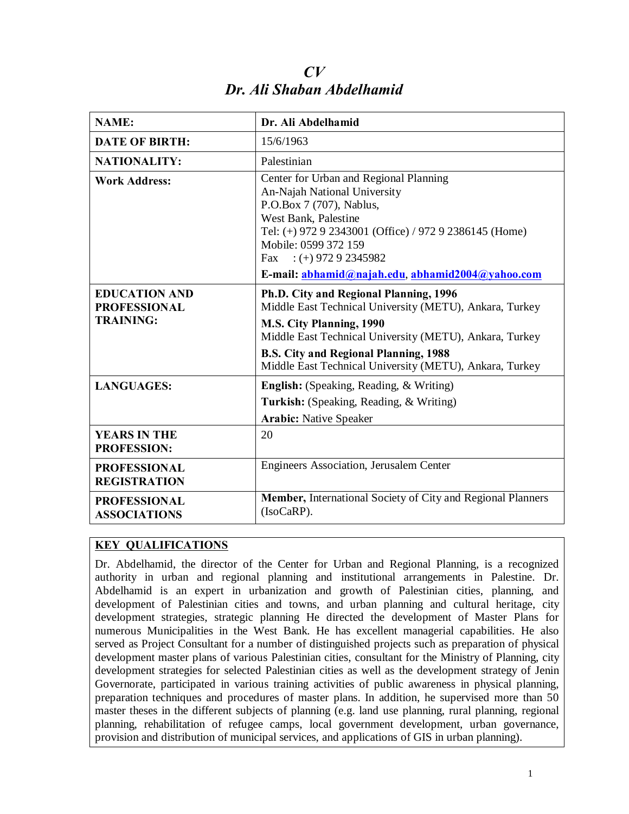| <b>NAME:</b>                                                    | Dr. Ali Abdelhamid                                                                                                                                                                                                                                                                                  |
|-----------------------------------------------------------------|-----------------------------------------------------------------------------------------------------------------------------------------------------------------------------------------------------------------------------------------------------------------------------------------------------|
| <b>DATE OF BIRTH:</b>                                           | 15/6/1963                                                                                                                                                                                                                                                                                           |
| <b>NATIONALITY:</b>                                             | Palestinian                                                                                                                                                                                                                                                                                         |
| <b>Work Address:</b>                                            | Center for Urban and Regional Planning<br>An-Najah National University<br>P.O.Box 7 (707), Nablus,<br>West Bank, Palestine<br>Tel: (+) 972 9 2343001 (Office) / 972 9 2386145 (Home)<br>Mobile: 0599 372 159<br>Fax : (+) 972 9 2345982<br>E-mail: abhamid@najah.edu, abhamid2004@yahoo.com         |
| <b>EDUCATION AND</b><br><b>PROFESSIONAL</b><br><b>TRAINING:</b> | Ph.D. City and Regional Planning, 1996<br>Middle East Technical University (METU), Ankara, Turkey<br>M.S. City Planning, 1990<br>Middle East Technical University (METU), Ankara, Turkey<br><b>B.S. City and Regional Planning, 1988</b><br>Middle East Technical University (METU), Ankara, Turkey |
| <b>LANGUAGES:</b>                                               | <b>English:</b> (Speaking, Reading, & Writing)<br><b>Turkish:</b> (Speaking, Reading, & Writing)<br><b>Arabic: Native Speaker</b>                                                                                                                                                                   |
| <b>YEARS IN THE</b><br><b>PROFESSION:</b>                       | 20                                                                                                                                                                                                                                                                                                  |
| <b>PROFESSIONAL</b><br><b>REGISTRATION</b>                      | Engineers Association, Jerusalem Center                                                                                                                                                                                                                                                             |
| <b>PROFESSIONAL</b><br><b>ASSOCIATIONS</b>                      | Member, International Society of City and Regional Planners<br>$(IsoCaRP)$ .                                                                                                                                                                                                                        |

*CV Dr. Ali Shaban Abdelhamid* 

## **KEY QUALIFICATIONS**

Dr. Abdelhamid, the director of the Center for Urban and Regional Planning, is a recognized authority in urban and regional planning and institutional arrangements in Palestine. Dr. Abdelhamid is an expert in urbanization and growth of Palestinian cities, planning, and development of Palestinian cities and towns, and urban planning and cultural heritage, city development strategies, strategic planning He directed the development of Master Plans for numerous Municipalities in the West Bank. He has excellent managerial capabilities. He also served as Project Consultant for a number of distinguished projects such as preparation of physical development master plans of various Palestinian cities, consultant for the Ministry of Planning, city development strategies for selected Palestinian cities as well as the development strategy of Jenin Governorate, participated in various training activities of public awareness in physical planning, preparation techniques and procedures of master plans. In addition, he supervised more than 50 master theses in the different subjects of planning (e.g. land use planning, rural planning, regional planning, rehabilitation of refugee camps, local government development, urban governance, provision and distribution of municipal services, and applications of GIS in urban planning).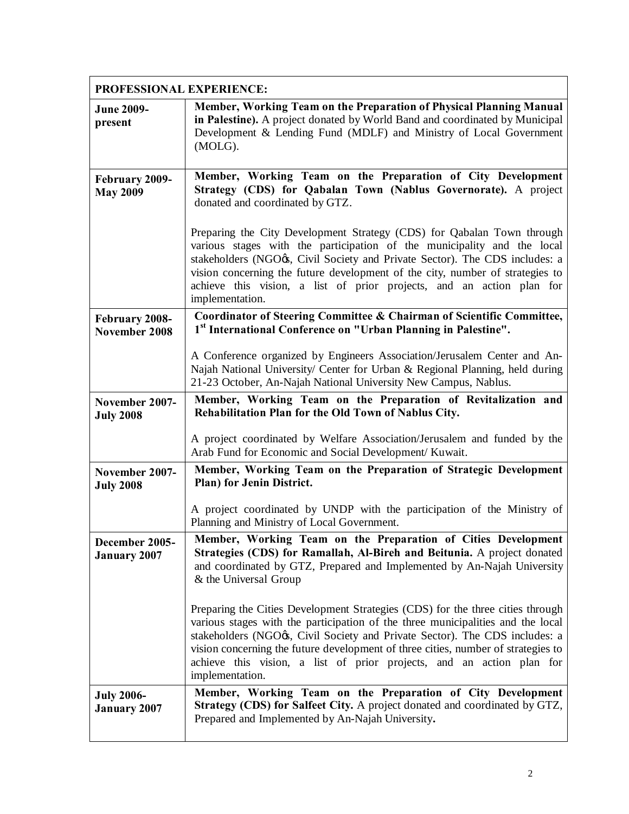| PROFESSIONAL EXPERIENCE:                 |                                                                                                                                                                                                                                                                                                                                                                                                                                   |
|------------------------------------------|-----------------------------------------------------------------------------------------------------------------------------------------------------------------------------------------------------------------------------------------------------------------------------------------------------------------------------------------------------------------------------------------------------------------------------------|
| <b>June 2009-</b><br>present             | Member, Working Team on the Preparation of Physical Planning Manual<br>in Palestine). A project donated by World Band and coordinated by Municipal<br>Development & Lending Fund (MDLF) and Ministry of Local Government<br>(MOLG).                                                                                                                                                                                               |
| February 2009-<br><b>May 2009</b>        | Member, Working Team on the Preparation of City Development<br>Strategy (CDS) for Qabalan Town (Nablus Governorate). A project<br>donated and coordinated by GTZ.                                                                                                                                                                                                                                                                 |
|                                          | Preparing the City Development Strategy (CDS) for Qabalan Town through<br>various stages with the participation of the municipality and the local<br>stakeholders (NGO ), Civil Society and Private Sector). The CDS includes: a<br>vision concerning the future development of the city, number of strategies to<br>achieve this vision, a list of prior projects, and an action plan for<br>implementation.                     |
| February 2008-<br>November 2008          | Coordinator of Steering Committee & Chairman of Scientific Committee,<br>1 <sup>st</sup> International Conference on "Urban Planning in Palestine".                                                                                                                                                                                                                                                                               |
|                                          | A Conference organized by Engineers Association/Jerusalem Center and An-<br>Najah National University/ Center for Urban & Regional Planning, held during<br>21-23 October, An-Najah National University New Campus, Nablus.                                                                                                                                                                                                       |
| November 2007-<br><b>July 2008</b>       | Member, Working Team on the Preparation of Revitalization and<br>Rehabilitation Plan for the Old Town of Nablus City.                                                                                                                                                                                                                                                                                                             |
|                                          | A project coordinated by Welfare Association/Jerusalem and funded by the<br>Arab Fund for Economic and Social Development/ Kuwait.                                                                                                                                                                                                                                                                                                |
| November 2007-<br><b>July 2008</b>       | Member, Working Team on the Preparation of Strategic Development<br>Plan) for Jenin District.                                                                                                                                                                                                                                                                                                                                     |
|                                          | A project coordinated by UNDP with the participation of the Ministry of<br>Planning and Ministry of Local Government.                                                                                                                                                                                                                                                                                                             |
| December 2005-<br><b>January 2007</b>    | Member, Working Team on the Preparation of Cities Development<br>Strategies (CDS) for Ramallah, Al-Bireh and Beitunia. A project donated<br>and coordinated by GTZ, Prepared and Implemented by An-Najah University<br>& the Universal Group                                                                                                                                                                                      |
|                                          | Preparing the Cities Development Strategies (CDS) for the three cities through<br>various stages with the participation of the three municipalities and the local<br>stakeholders (NGO ), Civil Society and Private Sector). The CDS includes: a<br>vision concerning the future development of three cities, number of strategies to<br>achieve this vision, a list of prior projects, and an action plan for<br>implementation. |
| <b>July 2006-</b><br><b>January 2007</b> | Member, Working Team on the Preparation of City Development<br>Strategy (CDS) for Salfeet City. A project donated and coordinated by GTZ,<br>Prepared and Implemented by An-Najah University.                                                                                                                                                                                                                                     |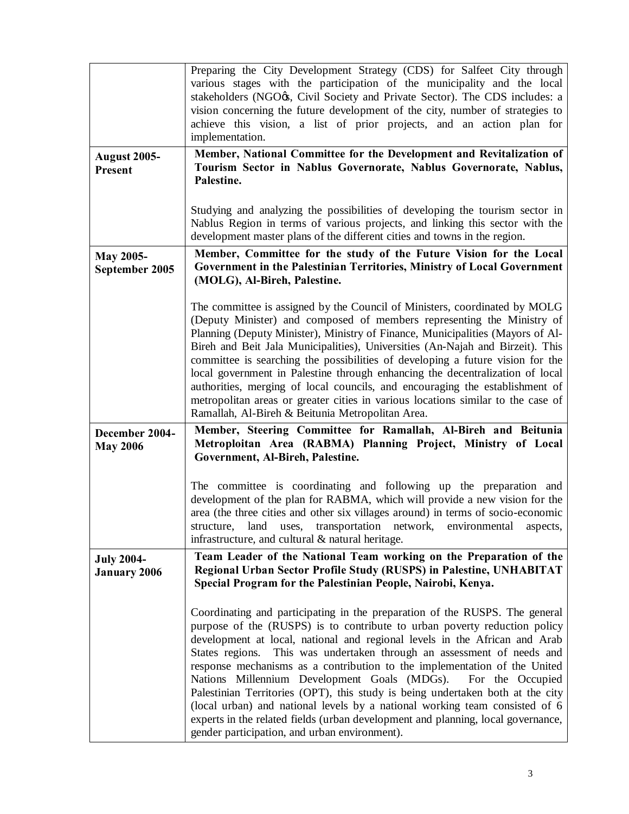|                                   | Preparing the City Development Strategy (CDS) for Salfeet City through                                                                                             |
|-----------------------------------|--------------------------------------------------------------------------------------------------------------------------------------------------------------------|
|                                   | various stages with the participation of the municipality and the local<br>stakeholders (NGO <sub>G</sub> , Civil Society and Private Sector). The CDS includes: a |
|                                   | vision concerning the future development of the city, number of strategies to                                                                                      |
|                                   | achieve this vision, a list of prior projects, and an action plan for                                                                                              |
|                                   | implementation.                                                                                                                                                    |
| <b>August 2005-</b>               | Member, National Committee for the Development and Revitalization of<br>Tourism Sector in Nablus Governorate, Nablus Governorate, Nablus,                          |
| <b>Present</b>                    | Palestine.                                                                                                                                                         |
|                                   |                                                                                                                                                                    |
|                                   | Studying and analyzing the possibilities of developing the tourism sector in                                                                                       |
|                                   | Nablus Region in terms of various projects, and linking this sector with the<br>development master plans of the different cities and towns in the region.          |
|                                   | Member, Committee for the study of the Future Vision for the Local                                                                                                 |
| May 2005-<br>September 2005       | Government in the Palestinian Territories, Ministry of Local Government                                                                                            |
|                                   | (MOLG), Al-Bireh, Palestine.                                                                                                                                       |
|                                   | The committee is assigned by the Council of Ministers, coordinated by MOLG                                                                                         |
|                                   | (Deputy Minister) and composed of members representing the Ministry of                                                                                             |
|                                   | Planning (Deputy Minister), Ministry of Finance, Municipalities (Mayors of Al-                                                                                     |
|                                   | Bireh and Beit Jala Municipalities), Universities (An-Najah and Birzeit). This                                                                                     |
|                                   | committee is searching the possibilities of developing a future vision for the<br>local government in Palestine through enhancing the decentralization of local    |
|                                   | authorities, merging of local councils, and encouraging the establishment of                                                                                       |
|                                   | metropolitan areas or greater cities in various locations similar to the case of                                                                                   |
|                                   | Ramallah, Al-Bireh & Beitunia Metropolitan Area.<br>Member, Steering Committee for Ramallah, Al-Bireh and Beitunia                                                 |
| December 2004-<br><b>May 2006</b> | Metroploitan Area (RABMA) Planning Project, Ministry of Local                                                                                                      |
|                                   | Government, Al-Bireh, Palestine.                                                                                                                                   |
|                                   |                                                                                                                                                                    |
|                                   | The committee is coordinating and following up the preparation and<br>development of the plan for RABMA, which will provide a new vision for the                   |
|                                   | area (the three cities and other six villages around) in terms of socio-economic                                                                                   |
|                                   | transportation<br>structure,<br>land<br>uses,<br>network,<br>environmental<br>aspects,                                                                             |
|                                   | infrastructure, and cultural & natural heritage.                                                                                                                   |
| <b>July 2004-</b>                 | Team Leader of the National Team working on the Preparation of the<br>Regional Urban Sector Profile Study (RUSPS) in Palestine, UNHABITAT                          |
| <b>January 2006</b>               |                                                                                                                                                                    |
|                                   | Special Program for the Palestinian People, Nairobi, Kenya.                                                                                                        |
|                                   |                                                                                                                                                                    |
|                                   | Coordinating and participating in the preparation of the RUSPS. The general                                                                                        |
|                                   | purpose of the (RUSPS) is to contribute to urban poverty reduction policy                                                                                          |
|                                   | development at local, national and regional levels in the African and Arab<br>States regions.<br>This was undertaken through an assessment of needs and            |
|                                   | response mechanisms as a contribution to the implementation of the United                                                                                          |
|                                   | Nations Millennium Development Goals (MDGs).<br>For the Occupied                                                                                                   |
|                                   | Palestinian Territories (OPT), this study is being undertaken both at the city<br>(local urban) and national levels by a national working team consisted of 6      |
|                                   | experts in the related fields (urban development and planning, local governance,<br>gender participation, and urban environment).                                  |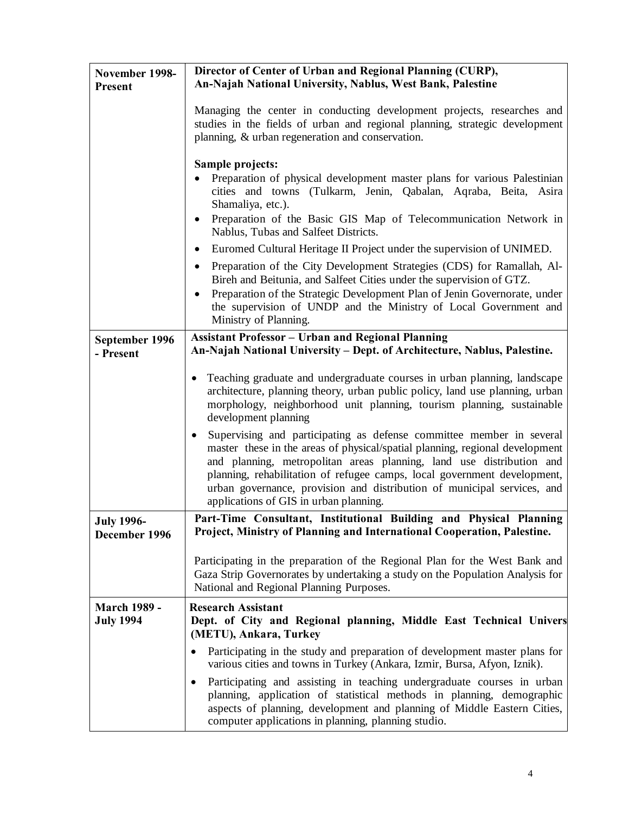| November 1998-<br><b>Present</b>        | Director of Center of Urban and Regional Planning (CURP),<br>An-Najah National University, Nablus, West Bank, Palestine                                                                                                                                                                                                                                                                                                                                                                                                                                                                                                                          |
|-----------------------------------------|--------------------------------------------------------------------------------------------------------------------------------------------------------------------------------------------------------------------------------------------------------------------------------------------------------------------------------------------------------------------------------------------------------------------------------------------------------------------------------------------------------------------------------------------------------------------------------------------------------------------------------------------------|
|                                         | Managing the center in conducting development projects, researches and<br>studies in the fields of urban and regional planning, strategic development<br>planning, & urban regeneration and conservation.                                                                                                                                                                                                                                                                                                                                                                                                                                        |
|                                         | Sample projects:<br>Preparation of physical development master plans for various Palestinian<br>cities and towns (Tulkarm, Jenin, Qabalan, Aqraba, Beita, Asira<br>Shamaliya, etc.).<br>Preparation of the Basic GIS Map of Telecommunication Network in<br>٠<br>Nablus, Tubas and Salfeet Districts.                                                                                                                                                                                                                                                                                                                                            |
|                                         | Euromed Cultural Heritage II Project under the supervision of UNIMED.<br>$\bullet$<br>Preparation of the City Development Strategies (CDS) for Ramallah, Al-<br>$\bullet$<br>Bireh and Beitunia, and Salfeet Cities under the supervision of GTZ.<br>Preparation of the Strategic Development Plan of Jenin Governorate, under<br>$\bullet$<br>the supervision of UNDP and the Ministry of Local Government and<br>Ministry of Planning.                                                                                                                                                                                                         |
| September 1996<br>- Present             | <b>Assistant Professor - Urban and Regional Planning</b><br>An-Najah National University – Dept. of Architecture, Nablus, Palestine.                                                                                                                                                                                                                                                                                                                                                                                                                                                                                                             |
|                                         | Teaching graduate and undergraduate courses in urban planning, landscape<br>architecture, planning theory, urban public policy, land use planning, urban<br>morphology, neighborhood unit planning, tourism planning, sustainable<br>development planning<br>Supervising and participating as defense committee member in several<br>master these in the areas of physical/spatial planning, regional development<br>and planning, metropolitan areas planning, land use distribution and<br>planning, rehabilitation of refugee camps, local government development,<br>urban governance, provision and distribution of municipal services, and |
|                                         | applications of GIS in urban planning.                                                                                                                                                                                                                                                                                                                                                                                                                                                                                                                                                                                                           |
| <b>July 1996-</b><br>December 1996      | Part-Time Consultant, Institutional Building and Physical Planning<br>Project, Ministry of Planning and International Cooperation, Palestine.                                                                                                                                                                                                                                                                                                                                                                                                                                                                                                    |
|                                         | Participating in the preparation of the Regional Plan for the West Bank and<br>Gaza Strip Governorates by undertaking a study on the Population Analysis for<br>National and Regional Planning Purposes.                                                                                                                                                                                                                                                                                                                                                                                                                                         |
| <b>March 1989 -</b><br><b>July 1994</b> | <b>Research Assistant</b><br>Dept. of City and Regional planning, Middle East Technical Univers<br>(METU), Ankara, Turkey                                                                                                                                                                                                                                                                                                                                                                                                                                                                                                                        |
|                                         | Participating in the study and preparation of development master plans for<br>٠<br>various cities and towns in Turkey (Ankara, Izmir, Bursa, Afyon, Iznik).                                                                                                                                                                                                                                                                                                                                                                                                                                                                                      |
|                                         | Participating and assisting in teaching undergraduate courses in urban<br>٠<br>planning, application of statistical methods in planning, demographic<br>aspects of planning, development and planning of Middle Eastern Cities,<br>computer applications in planning, planning studio.                                                                                                                                                                                                                                                                                                                                                           |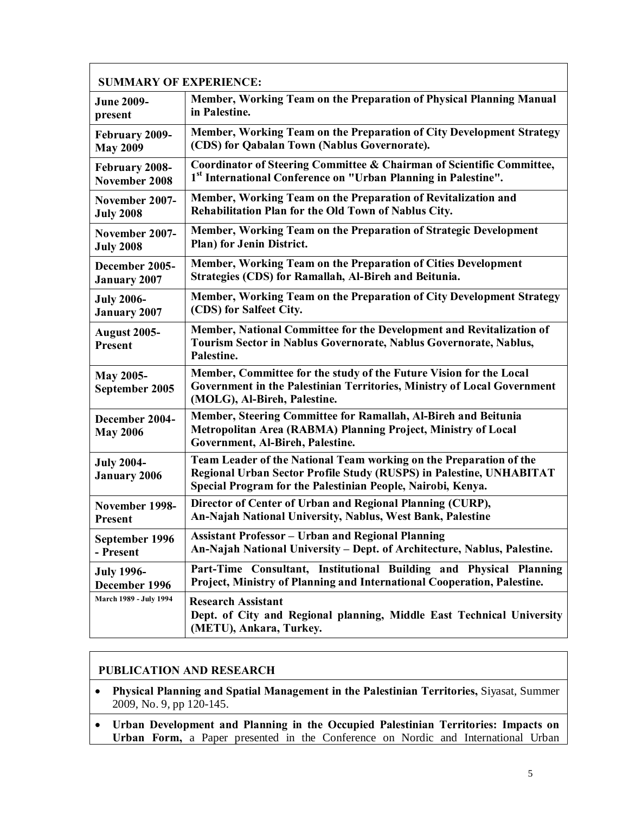| <b>SUMMARY OF EXPERIENCE:</b>            |                                                                                                                                                                                                          |  |
|------------------------------------------|----------------------------------------------------------------------------------------------------------------------------------------------------------------------------------------------------------|--|
| <b>June 2009-</b>                        | Member, Working Team on the Preparation of Physical Planning Manual                                                                                                                                      |  |
| present                                  | in Palestine.                                                                                                                                                                                            |  |
| February 2009-                           | Member, Working Team on the Preparation of City Development Strategy                                                                                                                                     |  |
| <b>May 2009</b>                          | (CDS) for Qabalan Town (Nablus Governorate).                                                                                                                                                             |  |
| February 2008-                           | Coordinator of Steering Committee & Chairman of Scientific Committee,                                                                                                                                    |  |
| November 2008                            | 1st International Conference on "Urban Planning in Palestine".                                                                                                                                           |  |
| November 2007-                           | Member, Working Team on the Preparation of Revitalization and                                                                                                                                            |  |
| <b>July 2008</b>                         | Rehabilitation Plan for the Old Town of Nablus City.                                                                                                                                                     |  |
| November 2007-                           | Member, Working Team on the Preparation of Strategic Development                                                                                                                                         |  |
| <b>July 2008</b>                         | Plan) for Jenin District.                                                                                                                                                                                |  |
| December 2005-                           | Member, Working Team on the Preparation of Cities Development                                                                                                                                            |  |
| <b>January 2007</b>                      | Strategies (CDS) for Ramallah, Al-Bireh and Beitunia.                                                                                                                                                    |  |
| <b>July 2006-</b>                        | Member, Working Team on the Preparation of City Development Strategy                                                                                                                                     |  |
| <b>January 2007</b>                      | (CDS) for Salfeet City.                                                                                                                                                                                  |  |
| <b>August 2005-</b><br>Present           | Member, National Committee for the Development and Revitalization of<br>Tourism Sector in Nablus Governorate, Nablus Governorate, Nablus,<br>Palestine.                                                  |  |
| <b>May 2005-</b><br>September 2005       | Member, Committee for the study of the Future Vision for the Local<br>Government in the Palestinian Territories, Ministry of Local Government<br>(MOLG), Al-Bireh, Palestine.                            |  |
| December 2004-<br><b>May 2006</b>        | Member, Steering Committee for Ramallah, Al-Bireh and Beitunia<br>Metropolitan Area (RABMA) Planning Project, Ministry of Local<br>Government, Al-Bireh, Palestine.                                      |  |
| <b>July 2004-</b><br><b>January 2006</b> | Team Leader of the National Team working on the Preparation of the<br>Regional Urban Sector Profile Study (RUSPS) in Palestine, UNHABITAT<br>Special Program for the Palestinian People, Nairobi, Kenya. |  |
| November 1998-                           | Director of Center of Urban and Regional Planning (CURP),                                                                                                                                                |  |
| <b>Present</b>                           | An-Najah National University, Nablus, West Bank, Palestine                                                                                                                                               |  |
| September 1996                           | <b>Assistant Professor - Urban and Regional Planning</b>                                                                                                                                                 |  |
| - Present                                | An-Najah National University – Dept. of Architecture, Nablus, Palestine.                                                                                                                                 |  |
| <b>July 1996-</b>                        | Part-Time Consultant, Institutional Building and Physical Planning                                                                                                                                       |  |
| December 1996                            | Project, Ministry of Planning and International Cooperation, Palestine.                                                                                                                                  |  |
| March 1989 - July 1994                   | <b>Research Assistant</b><br>Dept. of City and Regional planning, Middle East Technical University<br>(METU), Ankara, Turkey.                                                                            |  |

## **PUBLICATION AND RESEARCH**

 $\Gamma$ 

- · **Physical Planning and Spatial Management in the Palestinian Territories,** Siyasat, Summer 2009, No. 9, pp 120-145.
- · **Urban Development and Planning in the Occupied Palestinian Territories: Impacts on**  Urban Form, a Paper presented in the Conference on Nordic and International Urban

٦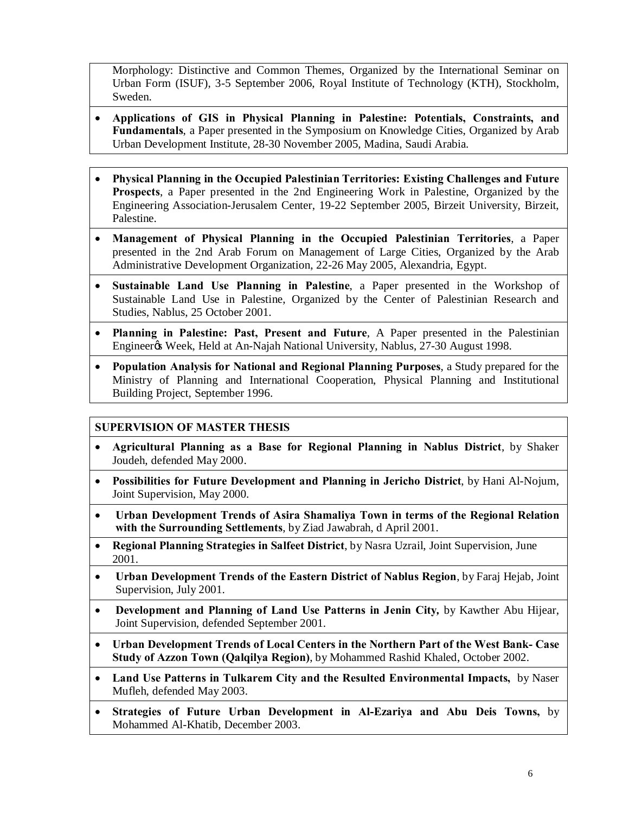Morphology: Distinctive and Common Themes, Organized by the International Seminar on Urban Form (ISUF), 3-5 September 2006, Royal Institute of Technology (KTH), Stockholm, Sweden.

- · **Applications of GIS in Physical Planning in Palestine: Potentials, Constraints, and Fundamentals**, a Paper presented in the Symposium on Knowledge Cities, Organized by Arab Urban Development Institute, 28-30 November 2005, Madina, Saudi Arabia.
- · **Physical Planning in the Occupied Palestinian Territories: Existing Challenges and Future Prospects**, a Paper presented in the 2nd Engineering Work in Palestine, Organized by the Engineering Association-Jerusalem Center, 19-22 September 2005, Birzeit University, Birzeit, Palestine.
- · **Management of Physical Planning in the Occupied Palestinian Territories**, a Paper presented in the 2nd Arab Forum on Management of Large Cities, Organized by the Arab Administrative Development Organization, 22-26 May 2005, Alexandria, Egypt.
- · **Sustainable Land Use Planning in Palestine**, a Paper presented in the Workshop of Sustainable Land Use in Palestine, Organized by the Center of Palestinian Research and Studies, Nablus, 25 October 2001.
- · **Planning in Palestine: Past, Present and Future**, A Paper presented in the Palestinian Engineer's Week, Held at An-Najah National University, Nablus, 27-30 August 1998.
- · **Population Analysis for National and Regional Planning Purposes**, a Study prepared for the Ministry of Planning and International Cooperation, Physical Planning and Institutional Building Project, September 1996.

## **SUPERVISION OF MASTER THESIS**

- · **Agricultural Planning as a Base for Regional Planning in Nablus District**, by Shaker Joudeh, defended May 2000.
- · **Possibilities for Future Development and Planning in Jericho District**, by Hani Al-Nojum, Joint Supervision, May 2000.
- · **Urban Development Trends of Asira Shamaliya Town in terms of the Regional Relation with the Surrounding Settlements**, by Ziad Jawabrah, d April 2001.
- · **Regional Planning Strategies in Salfeet District**, by Nasra Uzrail, Joint Supervision, June 2001.
- · **Urban Development Trends of the Eastern District of Nablus Region**, by Faraj Hejab, Joint Supervision, July 2001.
- · **Development and Planning of Land Use Patterns in Jenin City***,* by Kawther Abu Hijear, Joint Supervision, defended September 2001.
- · **Urban Development Trends of Local Centers in the Northern Part of the West Bank- Case Study of Azzon Town (Qalqilya Region)**, by Mohammed Rashid Khaled, October 2002.
- · **Land Use Patterns in Tulkarem City and the Resulted Environmental Impacts,** by Naser Mufleh, defended May 2003.
- · **Strategies of Future Urban Development in Al-Ezariya and Abu Deis Towns,** by Mohammed Al-Khatib, December 2003.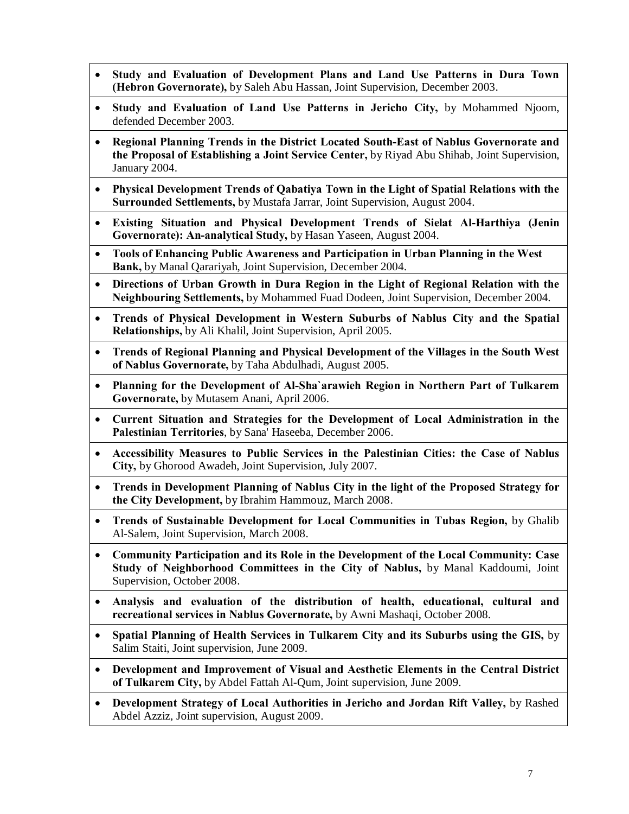- · **Study and Evaluation of Development Plans and Land Use Patterns in Dura Town (Hebron Governorate),** by Saleh Abu Hassan, Joint Supervision, December 2003.
- · **Study and Evaluation of Land Use Patterns in Jericho City,** by Mohammed Njoom, defended December 2003.
- · **Regional Planning Trends in the District Located South-East of Nablus Governorate and the Proposal of Establishing a Joint Service Center,** by Riyad Abu Shihab, Joint Supervision, January 2004.
- · **Physical Development Trends of Qabatiya Town in the Light of Spatial Relations with the Surrounded Settlements,** by Mustafa Jarrar, Joint Supervision, August 2004.
- · **Existing Situation and Physical Development Trends of Sielat Al-Harthiya (Jenin Governorate): An-analytical Study,** by Hasan Yaseen, August 2004.
- · **Tools of Enhancing Public Awareness and Participation in Urban Planning in the West Bank,** by Manal Qarariyah, Joint Supervision, December 2004.
- · **Directions of Urban Growth in Dura Region in the Light of Regional Relation with the Neighbouring Settlements,** by Mohammed Fuad Dodeen, Joint Supervision, December 2004.
- · **Trends of Physical Development in Western Suburbs of Nablus City and the Spatial Relationships,** by Ali Khalil, Joint Supervision, April 2005.
- · **Trends of Regional Planning and Physical Development of the Villages in the South West of Nablus Governorate,** by Taha Abdulhadi, August 2005.
- · **Planning for the Development of Al-Sha`arawieh Region in Northern Part of Tulkarem Governorate,** by Mutasem Anani, April 2006.
- · **Current Situation and Strategies for the Development of Local Administration in the Palestinian Territories**, by Sana' Haseeba, December 2006.
- · **Accessibility Measures to Public Services in the Palestinian Cities: the Case of Nablus City,** by Ghorood Awadeh, Joint Supervision, July 2007.
- · **Trends in Development Planning of Nablus City in the light of the Proposed Strategy for the City Development,** by Ibrahim Hammouz, March 2008.
- · **Trends of Sustainable Development for Local Communities in Tubas Region,** by Ghalib Al-Salem, Joint Supervision, March 2008.
- · **Community Participation and its Role in the Development of the Local Community: Case Study of Neighborhood Committees in the City of Nablus,** by Manal Kaddoumi, Joint Supervision, October 2008.
- · **Analysis and evaluation of the distribution of health, educational, cultural and recreational services in Nablus Governorate,** by Awni Mashaqi, October 2008.
- · **Spatial Planning of Health Services in Tulkarem City and its Suburbs using the GIS,** by Salim Staiti, Joint supervision, June 2009.
- · **Development and Improvement of Visual and Aesthetic Elements in the Central District of Tulkarem City,** by Abdel Fattah Al-Qum, Joint supervision, June 2009.
- · **Development Strategy of Local Authorities in Jericho and Jordan Rift Valley,** by Rashed Abdel Azziz, Joint supervision, August 2009.